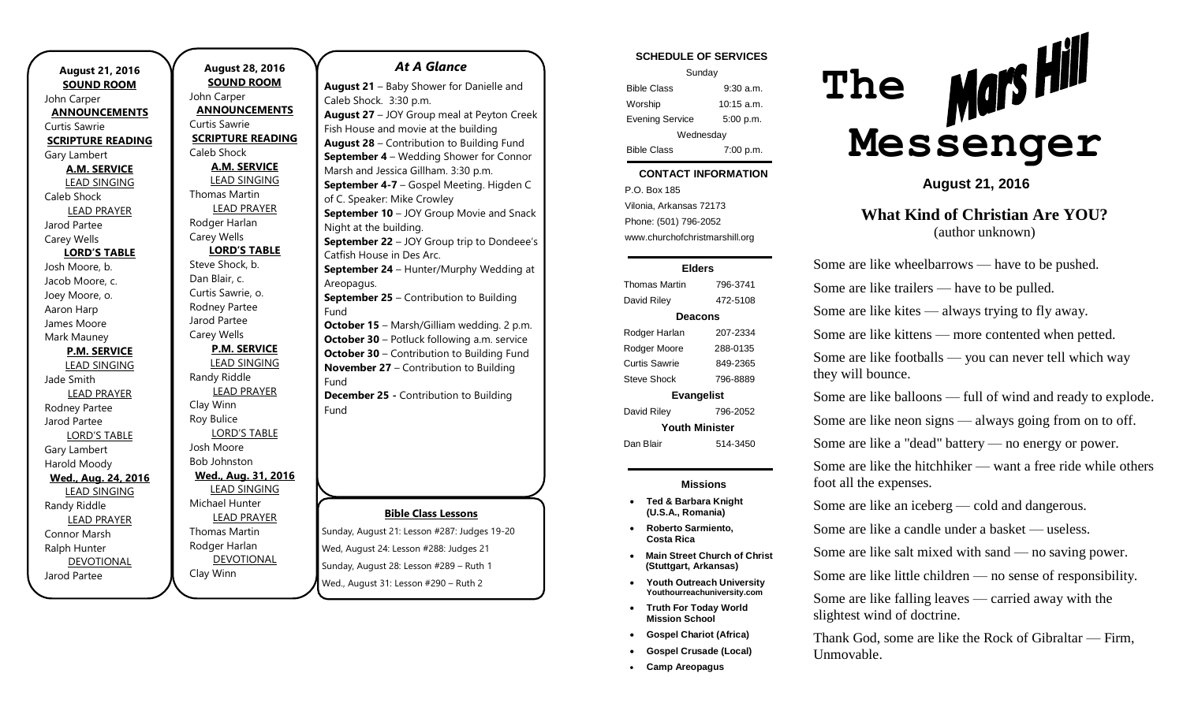| <b>August 21, 2016</b>   |
|--------------------------|
| <b>SOUND ROOM</b>        |
| John Carper              |
| <b>ANNOUNCEMENTS</b>     |
| Curtis Sawrie            |
| <b>SCRIPTURE READING</b> |
| Gary Lambert             |
| <b>A.M. SERVICE</b>      |
| <b>LEAD SINGING</b>      |
| Caleb Shock              |
| <b>LEAD PRAYER</b>       |
| Jarod Partee             |
| Carey Wells              |
| <b>LORD'S TABLE</b>      |
| Josh Moore, b.           |
| Jacob Moore, c.          |
| Joey Moore, o.           |
| Aaron Harp               |
| James Moore              |
| Mark Mauney              |
| <b>P.M. SERVICE</b>      |
| <b>LEAD SINGING</b>      |
| Jade Smith               |
| <b>LEAD PRAYER</b>       |
| Rodney Partee            |
| Jarod Partee             |
| <b>LORD'S TABLE</b>      |
| Gary Lambert             |
| Harold Moody             |
| Wed., Aug. 24, 2016      |
| <b>LEAD SINGING</b>      |
| Randy Riddle             |
| <b>LEAD PRAYER</b>       |
| Connor Marsh             |
| Ralph Hunter             |
| <b>DEVOTIONAL</b>        |
| Jarod Partee             |

**August 28, 2016 SOUND ROOM** John Carper **ANNOUNCEMENTS** Curtis Sawrie **SCRIPTURE READING** Caleb Shock **A.M. SERVICE** LEAD SINGING Thomas Martin LEAD PRAYER Rodger Harlan Carey Wells **LORD'S TABLE** Steve Shock, b. Dan Blair, c. Curtis Sawrie, o. Rodney Partee Jarod Partee Carey Wells **P.M. SERVICE** LEAD SINGING Randy Riddle LEAD PRAYER Clay Winn Roy Bulice LORD'S TABLE Josh Moore Bob Johnston **Wed., Aug. 31, 2016** LEAD SINGING Michael Hunter LEAD PRAYER Thomas Martin

Rodger Harlan

Clay Winn

DEVOTIONAL

#### *At A Glance*

**Bible Class Lessons** Sunday, August 21: Lesson #287: Judges 19-20 Wed, August 24: Lesson #288: Judges 21 **August 21** – Baby Shower for Danielle and Caleb Shock. 3:30 p.m. **August 27** – JOY Group meal at Peyton Creek Fish House and movie at the building **August 28** – Contribution to Building Fund **September 4** – Wedding Shower for Connor Marsh and Jessica Gillham. 3:30 p.m. **September 4-7** – Gospel Meeting. Higden C of C. Speaker: Mike Crowley **September 10** – JOY Group Movie and Snack Night at the building. **September 22** – JOY Group trip to Dondeee's Catfish House in Des Arc. **September 24** – Hunter/Murphy Wedding at Areopagus. **September 25** – Contribution to Building Fund **October 15** – Marsh/Gilliam wedding. 2 p.m. **October 30** – Potluck following a.m. service **October 30** – Contribution to Building Fund **November 27** – Contribution to Building Fund **December 25 -** Contribution to Building Fund

Sunday, August 28: Lesson #289 – Ruth 1 Wed., August 31: Lesson #290 – Ruth 2

### **SCHEDULE OF SERVICES**

| Sunday                 |              |  |
|------------------------|--------------|--|
| <b>Bible Class</b>     | $9:30$ a.m.  |  |
| Worship                | $10:15$ a.m. |  |
| <b>Evening Service</b> | 5:00 p.m.    |  |
| Wednesday              |              |  |
| <b>Bible Class</b>     | 7:00 p.m.    |  |

#### tuesday. **CONTACT INFORMATION**

. .o. Box 100<br>Vilonia, Arkansas 72173 P.O. Box 185 Phone: (501) 796-2052 www.churchofchristmarshill.org

#### **Elders**

Thomas Martin 796-3741 David Riley 472-5108 **Deacons** Rodger Harlan 207-2334 Rodger Moore 288-0135 Curtis Sawrie 849-2365 Steve Shock 796-8889 **Evangelist** David Riley 796-2052 **Youth Minister**

Dan Blair 514-3450

### **Missions**

- **Ted & Barbara Knight (U.S.A., Romania)**
- **Roberto Sarmiento, Costa Rica**
- **Main Street Church of Christ (Stuttgart, Arkansas)**
- **Youth Outreach University Youthourreachuniversity.com**
- **Truth For Today World Mission School**
- **Gospel Chariot (Africa)**
- **Gospel Crusade (Local)**
- **Camp Areopagus**



**August 21, 2016**

**What Kind of Christian Are YOU?** (author unknown)

Some are like wheelbarrows — have to be pushed. Some are like trailers — have to be pulled. Some are like kites — always trying to fly away. Some are like kittens — more contented when petted. Some are like footballs — you can never tell which way they will bounce. Some are like balloons — full of wind and ready to explode.

Some are like neon signs — always going from on to off.

Some are like a "dead" battery — no energy or power.

Some are like the hitchhiker — want a free ride while others foot all the expenses.

Some are like an iceberg — cold and dangerous.

Some are like a candle under a basket — useless.

Some are like salt mixed with sand — no saving power.

Some are like little children — no sense of responsibility.

Some are like falling leaves — carried away with the slightest wind of doctrine.

Thank God, some are like the Rock of Gibraltar — Firm, Unmovable.